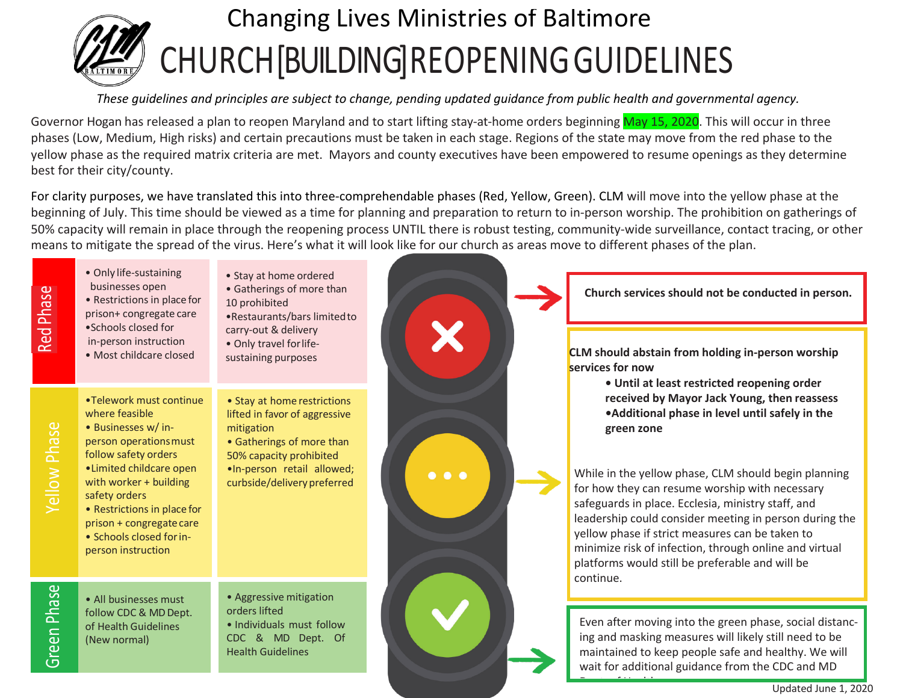

## Changing Lives Ministries of Baltimore CHURCH [ BUILDING] REOPENING GUIDELINES

#### *These guidelines and principles are subject to change, pending updated guidance from public health and governmental agency.*

Governor Hogan has released a plan to reopen Maryland and to start lifting stay-at-home orders beginning May 15, 2020. This will occur in three phases (Low, Medium, High risks) and certain precautions must be taken in each stage. Regions of the state may move from the red phase to the yellow phase as the required matrix criteria are met. Mayors and county executives have been empowered to resume openings as they determine best for their city/county.

For clarity purposes, we have translated this into three-comprehendable phases (Red, Yellow, Green). CLM will move into the yellow phase at the beginning of July. This time should be viewed as a time for planning and preparation to return to in-person worship. The prohibition on gatherings of 50% capacity will remain in place through the reopening process UNTIL there is robust testing, community-wide surveillance, contact tracing, or other means to mitigate the spread of the virus. Here's what it will look like for our church as areas move to different phases of the plan.

| Phase<br>Red        | • Only life-sustaining<br>businesses open<br>• Restrictions in place for<br>prison+ congregate care<br>• Schools closed for<br>in-person instruction<br>• Most childcare closed                                                                                                                       | • Stay at home ordered<br>• Gatherings of more than<br>10 prohibited<br>•Restaurants/bars limited to<br>carry-out & delivery<br>. Only travel for life-<br>sustaining purposes                  | Church services should not be conducted in person.<br><b>CLM</b> should abstain from holding in-person worship<br>services for now                                                                                                                                                                                                                                                                                                                                                                                                                                                                                                                                                                               |
|---------------------|-------------------------------------------------------------------------------------------------------------------------------------------------------------------------------------------------------------------------------------------------------------------------------------------------------|-------------------------------------------------------------------------------------------------------------------------------------------------------------------------------------------------|------------------------------------------------------------------------------------------------------------------------------------------------------------------------------------------------------------------------------------------------------------------------------------------------------------------------------------------------------------------------------------------------------------------------------------------------------------------------------------------------------------------------------------------------------------------------------------------------------------------------------------------------------------------------------------------------------------------|
| Yellow Phase        | •Telework must continue<br>where feasible<br>• Businesses w/ in-<br>person operations must<br>follow safety orders<br>•Limited childcare open<br>with worker + building<br>safety orders<br>• Restrictions in place for<br>prison + congregate care<br>• Schools closed for in-<br>person instruction | • Stay at home restrictions<br>lifted in favor of aggressive<br>mitigation<br>• Gatherings of more than<br>50% capacity prohibited<br>·In-person retail allowed;<br>curbside/delivery preferred | . Until at least restricted reopening order<br>received by Mayor Jack Young, then reassess<br>.Additional phase in level until safely in the<br>green zone<br>While in the yellow phase, CLM should begin planning<br>$\bullet\bullet\bullet$<br>for how they can resume worship with necessary<br>safeguards in place. Ecclesia, ministry staff, and<br>leadership could consider meeting in person during the<br>yellow phase if strict measures can be taken to<br>minimize risk of infection, through online and virtual<br>platforms would still be preferable and will be<br>continue.<br>Even after moving into the green phase, social distanc-<br>ing and masking measures will likely still need to be |
| Phase<br>$G$ reen l | • All businesses must<br>follow CDC & MD Dept.<br>of Health Guidelines<br>(New normal)                                                                                                                                                                                                                | • Aggressive mitigation<br>orders lifted<br>• Individuals must follow<br>CDC & MD Dept. Of<br><b>Health Guidelines</b>                                                                          | maintained to keep people safe and healthy. We will<br>wait for additional guidance from the CDC and MD                                                                                                                                                                                                                                                                                                                                                                                                                                                                                                                                                                                                          |

Dept. of Health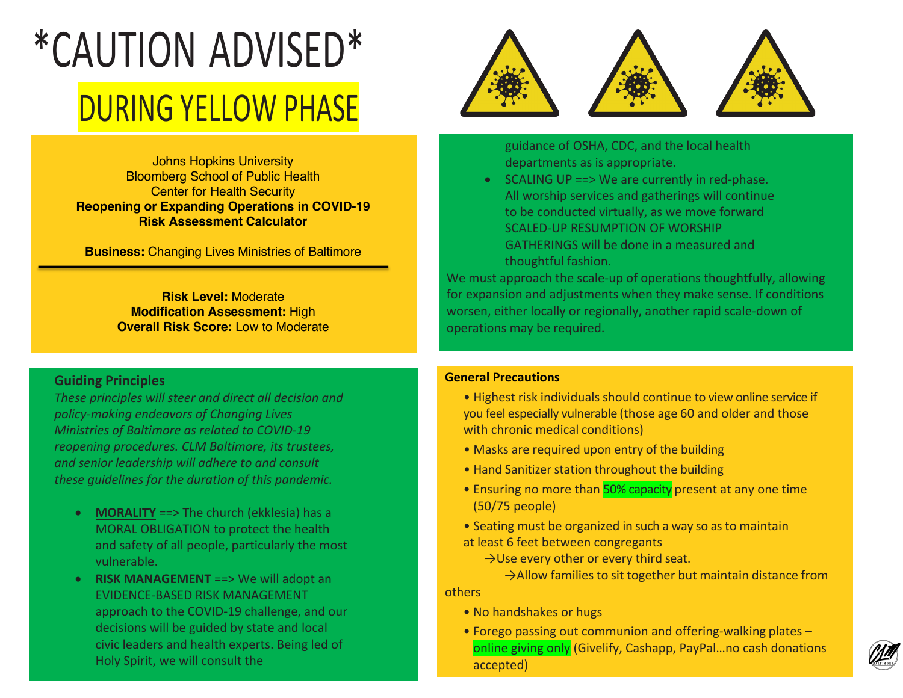# \*CAUTION ADVISED\* DURING YELLOW PHASE



Johns Hopkins University Bloomberg School of Public Health Center for Health Security **Reopening or Expanding Operations in COVID-19 Risk Assessment Calculator**

**Business:** Changing Lives Ministries of Baltimore

**Risk Level:** Moderate **Modification Assessment:** High **Overall Risk Score:** Low to Moderate

#### **Guiding Principles**

*These principles will steer and direct all decision and policy-making endeavors of Changing Lives Ministries of Baltimore as related to COVID-19 reopening procedures. CLM Baltimore, its trustees, and senior leadership will adhere to and consult these guidelines for the duration of this pandemic.* 

- **MORALITY** ==> The church (ekklesia) has a MORAL OBLIGATION to protect the health and safety of all people, particularly the most vulnerable.
- **RISK MANAGEMENT** ==> We will adopt an EVIDENCE-BASED RISK MANAGEMENT approach to the COVID-19 challenge, and our decisions will be guided by state and local civic leaders and health experts. Being led of Holy Spirit, we will consult the

guidance of OSHA, CDC, and the local health departments as is appropriate.

• SCALING UP ==> We are currently in red-phase. All worship services and gatherings will continue to be conducted virtually, as we move forward SCALED-UP RESUMPTION OF WORSHIP GATHERINGS will be done in a measured and thoughtful fashion.

We must approach the scale-up of operations thoughtfully, allowing for expansion and adjustments when they make sense. If conditions worsen, either locally or regionally, another rapid scale-down of operations may be required.

#### **General Precautions**

- Highest risk individuals should continue to view online service if you feel especially vulnerable (those age 60 and older and those with chronic medical conditions)
- Masks are required upon entry of the building
- Hand Sanitizer station throughout the building
- Ensuring no more than 50% capacity present at any one time (50/75 people)
- Seating must be organized in such a way so as to maintain at least 6 feet between congregants
	- $\rightarrow$ Use every other or every third seat.
		- →Allow families to sit together but maintain distance from

#### others

- No handshakes or hugs
- Forego passing out communion and offering-walking plates online giving only (Givelify, Cashapp, PayPal...no cash donations accepted)

 $\mathcal{L}_{\mathcal{A}}$  , the disinfected surfaces must be discussed (EPA  $\mathcal{L}_{\mathcal{A}}$